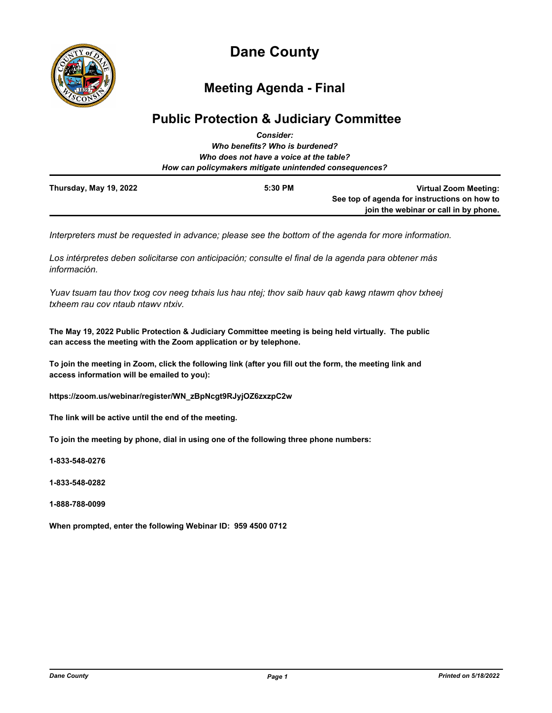

# **Dane County**

## **Meeting Agenda - Final**

## **Public Protection & Judiciary Committee**

|                                                        | <b>Consider:</b>                        |                                              |
|--------------------------------------------------------|-----------------------------------------|----------------------------------------------|
|                                                        | Who benefits? Who is burdened?          |                                              |
|                                                        | Who does not have a voice at the table? |                                              |
| How can policymakers mitigate unintended consequences? |                                         |                                              |
| Thursday, May 19, 2022                                 | 5:30 PM                                 | <b>Virtual Zoom Meeting:</b>                 |
|                                                        |                                         | See top of agenda for instructions on how to |
|                                                        |                                         | join the webinar or call in by phone.        |

*Interpreters must be requested in advance; please see the bottom of the agenda for more information.*

*Los intérpretes deben solicitarse con anticipación; consulte el final de la agenda para obtener más información.*

*Yuav tsuam tau thov txog cov neeg txhais lus hau ntej; thov saib hauv qab kawg ntawm qhov txheej txheem rau cov ntaub ntawv ntxiv.*

**The May 19, 2022 Public Protection & Judiciary Committee meeting is being held virtually. The public can access the meeting with the Zoom application or by telephone.**

**To join the meeting in Zoom, click the following link (after you fill out the form, the meeting link and access information will be emailed to you):** 

**https://zoom.us/webinar/register/WN\_zBpNcgt9RJyjOZ6zxzpC2w**

**The link will be active until the end of the meeting.**

**To join the meeting by phone, dial in using one of the following three phone numbers:**

**1-833-548-0276**

**1-833-548-0282**

**1-888-788-0099**

**When prompted, enter the following Webinar ID: 959 4500 0712**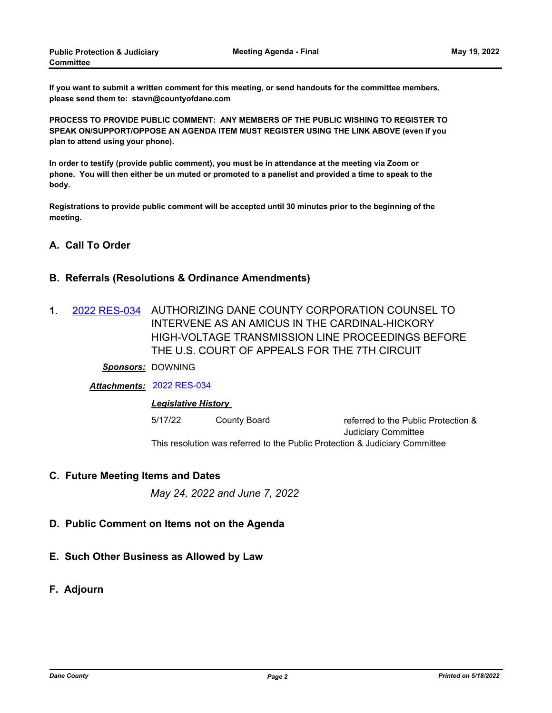**If you want to submit a written comment for this meeting, or send handouts for the committee members, please send them to: stavn@countyofdane.com**

**PROCESS TO PROVIDE PUBLIC COMMENT: ANY MEMBERS OF THE PUBLIC WISHING TO REGISTER TO SPEAK ON/SUPPORT/OPPOSE AN AGENDA ITEM MUST REGISTER USING THE LINK ABOVE (even if you plan to attend using your phone).**

**In order to testify (provide public comment), you must be in attendance at the meeting via Zoom or phone. You will then either be un muted or promoted to a panelist and provided a time to speak to the body.**

**Registrations to provide public comment will be accepted until 30 minutes prior to the beginning of the meeting.**

### **A. Call To Order**

#### **B. Referrals (Resolutions & Ordinance Amendments)**

1. [2022 RES-034](http://dane.legistar.com/gateway.aspx?m=l&id=/matter.aspx?key=22883) AUTHORIZING DANE COUNTY CORPORATION COUNSEL TO INTERVENE AS AN AMICUS IN THE CARDINAL-HICKORY HIGH-VOLTAGE TRANSMISSION LINE PROCEEDINGS BEFORE THE U.S. COURT OF APPEALS FOR THE 7TH CIRCUIT

#### *Sponsors:* DOWNING

*Attachments:* [2022 RES-034](http://dane.legistar.com/gateway.aspx?M=F&ID=4210d5cf-4980-49f3-895c-8d52efc50ee6.pdf)

#### *Legislative History*

5/17/22 County Board referred to the Public Protection & Judiciary Committee This resolution was referred to the Public Protection & Judiciary Committee

#### **C. Future Meeting Items and Dates**

*May 24, 2022 and June 7, 2022*

- **D. Public Comment on Items not on the Agenda**
- **E. Such Other Business as Allowed by Law**
- **F. Adjourn**